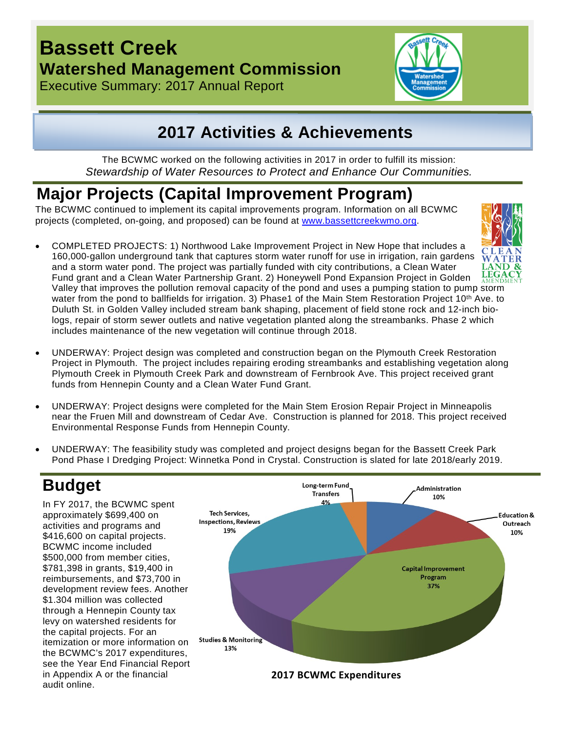## **Bassett Creek Watershed Management Commission**

Executive Summary: 2017 Annual Report



## **2017 Activities & Achievements**

The BCWMC worked on the following activities in 2017 in order to fulfill its mission: *Stewardship of Water Resources to Protect and Enhance Our Communities.*

# **Major Projects (Capital Improvement Program)**

The BCWMC continued to implement its capital improvements program. Information on all BCWMC projects (completed, on-going, and proposed) can be found at [www.bassettcreekwmo.org.](http://www.bassettcreekwmo.org/)

• COMPLETED PROJECTS: 1) Northwood Lake Improvement Project in New Hope that includes a 160,000-gallon underground tank that captures storm water runoff for use in irrigation, rain gardens and a storm water pond. The project was partially funded with city contributions, a Clean Water Fund grant and a Clean Water Partnership Grant. 2) Honeywell Pond Expansion Project in Golden



Valley that improves the pollution removal capacity of the pond and uses a pumping station to pump storm water from the pond to ballfields for irrigation. 3) Phase1 of the Main Stem Restoration Project 10<sup>th</sup> Ave. to Duluth St. in Golden Valley included stream bank shaping, placement of field stone rock and 12-inch biologs, repair of storm sewer outlets and native vegetation planted along the streambanks. Phase 2 which includes maintenance of the new vegetation will continue through 2018.

- UNDERWAY: Project design was completed and construction began on the Plymouth Creek Restoration Project in Plymouth. The project includes repairing eroding streambanks and establishing vegetation along Plymouth Creek in Plymouth Creek Park and downstream of Fernbrook Ave. This project received grant funds from Hennepin County and a Clean Water Fund Grant.
- UNDERWAY: Project designs were completed for the Main Stem Erosion Repair Project in Minneapolis near the Fruen Mill and downstream of Cedar Ave. Construction is planned for 2018. This project received Environmental Response Funds from Hennepin County.
- UNDERWAY: The feasibility study was completed and project designs began for the Bassett Creek Park Pond Phase I Dredging Project: Winnetka Pond in Crystal. Construction is slated for late 2018/early 2019.